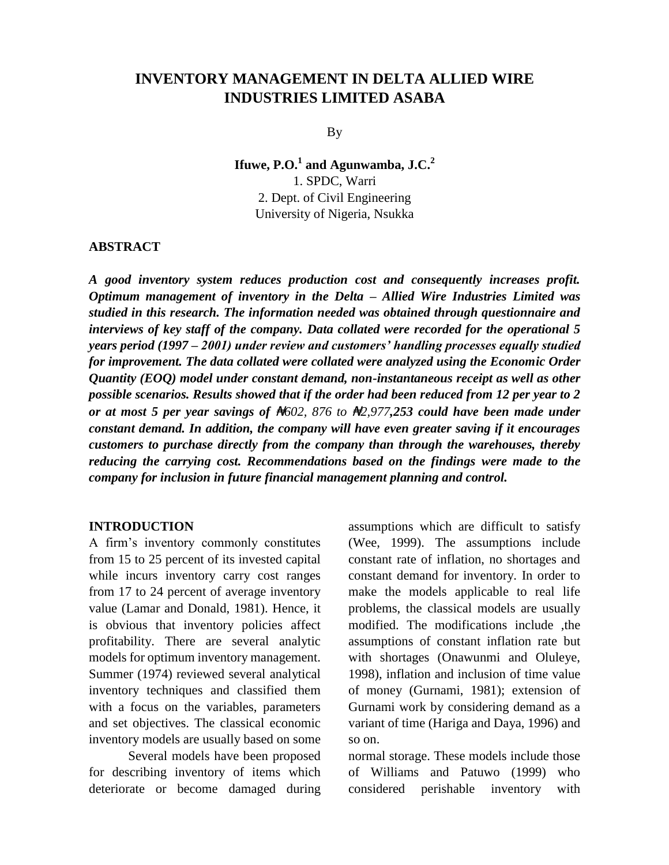# **INVENTORY MANAGEMENT IN DELTA ALLIED WIRE INDUSTRIES LIMITED ASABA**

By

**Ifuwe, P.O.<sup>1</sup> and Agunwamba, J.C.<sup>2</sup>** 1. SPDC, Warri 2. Dept. of Civil Engineering University of Nigeria, Nsukka

### **ABSTRACT**

*A good inventory system reduces production cost and consequently increases profit. Optimum management of inventory in the Delta – Allied Wire Industries Limited was studied in this research. The information needed was obtained through questionnaire and interviews of key staff of the company. Data collated were recorded for the operational 5 years period (1997 – 2001) under review and customers' handling processes equally studied for improvement. The data collated were collated were analyzed using the Economic Order Quantity (EOQ) model under constant demand, non-instantaneous receipt as well as other possible scenarios. Results showed that if the order had been reduced from 12 per year to 2 or at most 5 per year savings of* ₦*602, 876 to* ₦*2,977,253 could have been made under constant demand. In addition, the company will have even greater saving if it encourages customers to purchase directly from the company than through the warehouses, thereby reducing the carrying cost. Recommendations based on the findings were made to the company for inclusion in future financial management planning and control.*

#### **INTRODUCTION**

A firm's inventory commonly constitutes from 15 to 25 percent of its invested capital while incurs inventory carry cost ranges from 17 to 24 percent of average inventory value (Lamar and Donald, 1981). Hence, it is obvious that inventory policies affect profitability. There are several analytic models for optimum inventory management. Summer (1974) reviewed several analytical inventory techniques and classified them with a focus on the variables, parameters and set objectives. The classical economic inventory models are usually based on some

Several models have been proposed for describing inventory of items which deteriorate or become damaged during

assumptions which are difficult to satisfy (Wee, 1999). The assumptions include constant rate of inflation, no shortages and constant demand for inventory. In order to make the models applicable to real life problems, the classical models are usually modified. The modifications include ,the assumptions of constant inflation rate but with shortages (Onawunmi and Oluleye, 1998), inflation and inclusion of time value of money (Gurnami, 1981); extension of Gurnami work by considering demand as a variant of time (Hariga and Daya, 1996) and so on.

normal storage. These models include those of Williams and Patuwo (1999) who considered perishable inventory with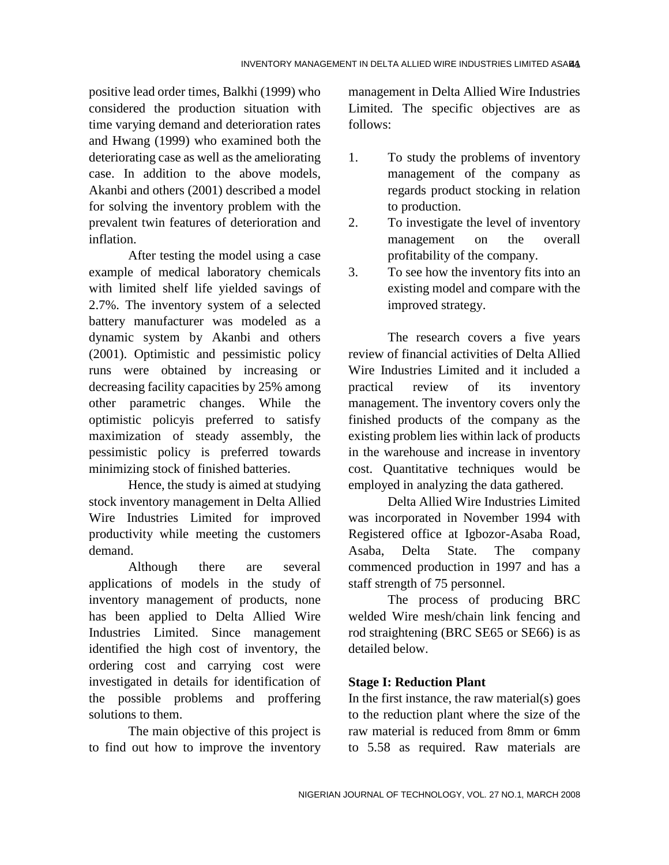positive lead order times, Balkhi (1999) who considered the production situation with time varying demand and deterioration rates and Hwang (1999) who examined both the deteriorating case as well as the ameliorating case. In addition to the above models, Akanbi and others (2001) described a model for solving the inventory problem with the prevalent twin features of deterioration and inflation.

After testing the model using a case example of medical laboratory chemicals with limited shelf life yielded savings of 2.7%. The inventory system of a selected battery manufacturer was modeled as a dynamic system by Akanbi and others (2001). Optimistic and pessimistic policy runs were obtained by increasing or decreasing facility capacities by 25% among other parametric changes. While the optimistic policyis preferred to satisfy maximization of steady assembly, the pessimistic policy is preferred towards minimizing stock of finished batteries.

Hence, the study is aimed at studying stock inventory management in Delta Allied Wire Industries Limited for improved productivity while meeting the customers demand.

Although there are several applications of models in the study of inventory management of products, none has been applied to Delta Allied Wire Industries Limited. Since management identified the high cost of inventory, the ordering cost and carrying cost were investigated in details for identification of the possible problems and proffering solutions to them.

The main objective of this project is to find out how to improve the inventory management in Delta Allied Wire Industries Limited. The specific objectives are as follows:

- 1. To study the problems of inventory management of the company as regards product stocking in relation to production.
- 2. To investigate the level of inventory management on the overall profitability of the company.
- 3. To see how the inventory fits into an existing model and compare with the improved strategy.

The research covers a five years review of financial activities of Delta Allied Wire Industries Limited and it included a practical review of its inventory management. The inventory covers only the finished products of the company as the existing problem lies within lack of products in the warehouse and increase in inventory cost. Quantitative techniques would be employed in analyzing the data gathered.

Delta Allied Wire Industries Limited was incorporated in November 1994 with Registered office at Igbozor-Asaba Road, Asaba, Delta State. The company commenced production in 1997 and has a staff strength of 75 personnel.

The process of producing BRC welded Wire mesh/chain link fencing and rod straightening (BRC SE65 or SE66) is as detailed below.

## **Stage I: Reduction Plant**

In the first instance, the raw material $(s)$  goes to the reduction plant where the size of the raw material is reduced from 8mm or 6mm to 5.58 as required. Raw materials are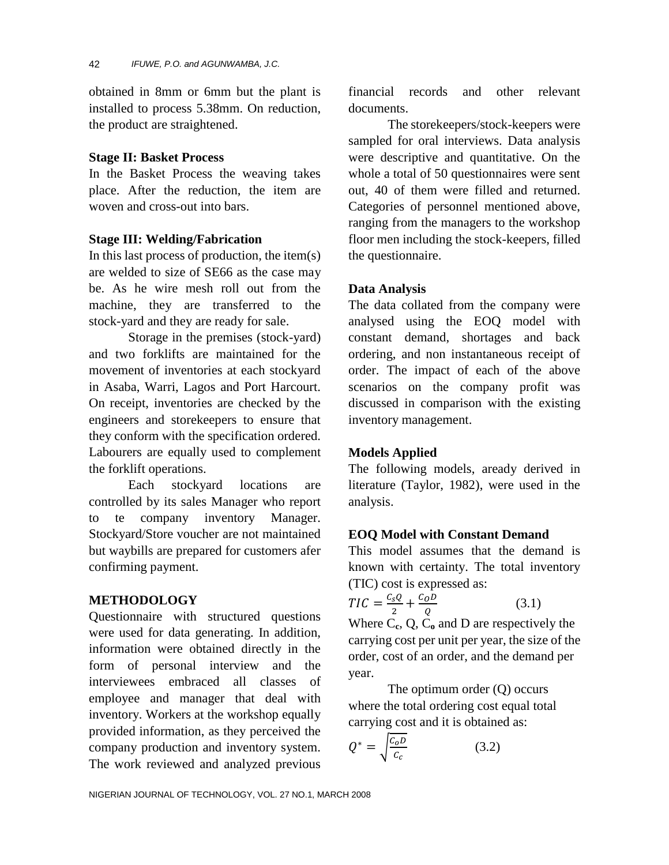obtained in 8mm or 6mm but the plant is installed to process 5.38mm. On reduction, the product are straightened.

### **Stage II: Basket Process**

In the Basket Process the weaving takes place. After the reduction, the item are woven and cross-out into bars.

## **Stage III: Welding/Fabrication**

In this last process of production, the item(s) are welded to size of SE66 as the case may be. As he wire mesh roll out from the machine, they are transferred to the stock-yard and they are ready for sale.

Storage in the premises (stock-yard) and two forklifts are maintained for the movement of inventories at each stockyard in Asaba, Warri, Lagos and Port Harcourt. On receipt, inventories are checked by the engineers and storekeepers to ensure that they conform with the specification ordered. Labourers are equally used to complement the forklift operations.

Each stockyard locations are controlled by its sales Manager who report to te company inventory Manager. Stockyard/Store voucher are not maintained but waybills are prepared for customers afer confirming payment.

## **METHODOLOGY**

Questionnaire with structured questions were used for data generating. In addition, information were obtained directly in the form of personal interview and the interviewees embraced all classes of employee and manager that deal with inventory. Workers at the workshop equally provided information, as they perceived the company production and inventory system. The work reviewed and analyzed previous

financial records and other relevant documents.

The storekeepers/stock-keepers were sampled for oral interviews. Data analysis were descriptive and quantitative. On the whole a total of 50 questionnaires were sent out, 40 of them were filled and returned. Categories of personnel mentioned above, ranging from the managers to the workshop floor men including the stock-keepers, filled the questionnaire.

## **Data Analysis**

The data collated from the company were analysed using the EOQ model with constant demand, shortages and back ordering, and non instantaneous receipt of order. The impact of each of the above scenarios on the company profit was discussed in comparison with the existing inventory management.

## **Models Applied**

The following models, aready derived in literature (Taylor, 1982), were used in the analysis.

## **EOQ Model with Constant Demand**

This model assumes that the demand is known with certainty. The total inventory (TIC) cost is expressed as:

$$
TIC = \frac{c_s Q}{2} + \frac{c_O D}{Q} \tag{3.1}
$$

Where C**c**, Q, C**<sup>o</sup>** and D are respectively the carrying cost per unit per year, the size of the order, cost of an order, and the demand per year.

The optimum order (Q) occurs where the total ordering cost equal total carrying cost and it is obtained as:

$$
Q^* = \sqrt{\frac{c_o D}{c_c}}\tag{3.2}
$$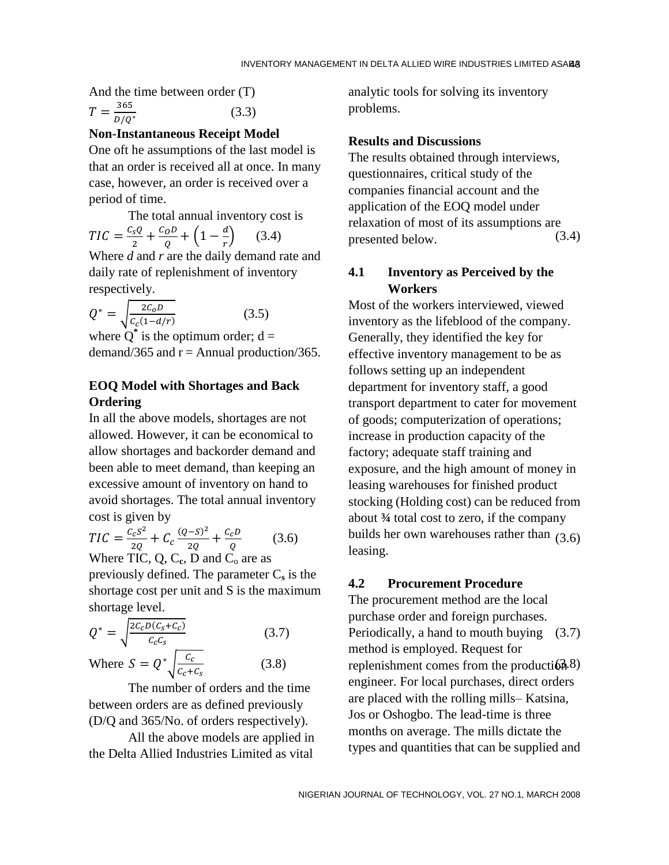And the time between order (T)

$$
T = \frac{365}{D/Q^*} \tag{3.3}
$$

### **Non-Instantaneous Receipt Model**

One oft he assumptions of the last model is that an order is received all at once. In many case, however, an order is received over a period of time.

The total annual inventory cost is  $TIC = \frac{C}{A}$  $rac{sQ}{2} + \frac{C}{2}$  $\frac{\rho}{Q} + \left(1 - \frac{d}{r}\right)$ r Where *d* and *r* are the daily demand rate and daily rate of replenishment of inventory

respectively.  
\n
$$
Q^* = \sqrt{\frac{2C_0D}{C_c(1-d/r)}}
$$
\n(3.5)

where  $Q^*$  is the optimum order;  $d =$ demand/365 and  $r =$  Annual production/365.

## **EOQ Model with Shortages and Back Ordering**

In all the above models, shortages are not allowed. However, it can be economical to allow shortages and backorder demand and been able to meet demand, than keeping an excessive amount of inventory on hand to avoid shortages. The total annual inventory cost is given by

$$
TIC = \frac{c_c s^2}{2Q} + C_c \frac{(Q - S)^2}{2Q} + \frac{c_c D}{Q}
$$
 (3.6)  
Where TIC, Q, C<sub>c</sub>, D and C<sub>o</sub> are as

previously defined. The parameter  $C_s$  is the shortage cost per unit and S is the maximum shortage level.

$$
Q^* = \sqrt{\frac{2c_c D(c_s + c_c)}{c_c c_s}}
$$
(3.7)

Where 
$$
S = Q^* \sqrt{\frac{c_c}{c_c + c_s}}
$$
 (3.8)

The number of orders and the time between orders are as defined previously (D/Q and 365/No. of orders respectively).

All the above models are applied in the Delta Allied Industries Limited as vital

analytic tools for solving its inventory problems.

#### **Results and Discussions**

 $(3.4)$  presented below.  $(3.4)$ The results obtained through interviews, questionnaires, critical study of the companies financial account and the application of the EOQ model under relaxation of most of its assumptions are

### **4.1 Inventory as Perceived by the Workers**

 $(3.6)$  builds her own warehouses rather than  $(3.6)$ Most of the workers interviewed, viewed inventory as the lifeblood of the company. Generally, they identified the key for effective inventory management to be as follows setting up an independent department for inventory staff, a good transport department to cater for movement of goods; computerization of operations; increase in production capacity of the factory; adequate staff training and exposure, and the high amount of money in leasing warehouses for finished product stocking (Holding cost) can be reduced from about **¾** total cost to zero, if the company leasing.

## **4.2 Procurement Procedure**

 (3.7) (3.7) Periodically, a hand to mouth buying  $(3.8)$  replenishment comes from the production 8) The procurement method are the local purchase order and foreign purchases. method is employed. Request for engineer. For local purchases, direct orders are placed with the rolling mills– Katsina, Jos or Oshogbo. The lead-time is three months on average. The mills dictate the types and quantities that can be supplied and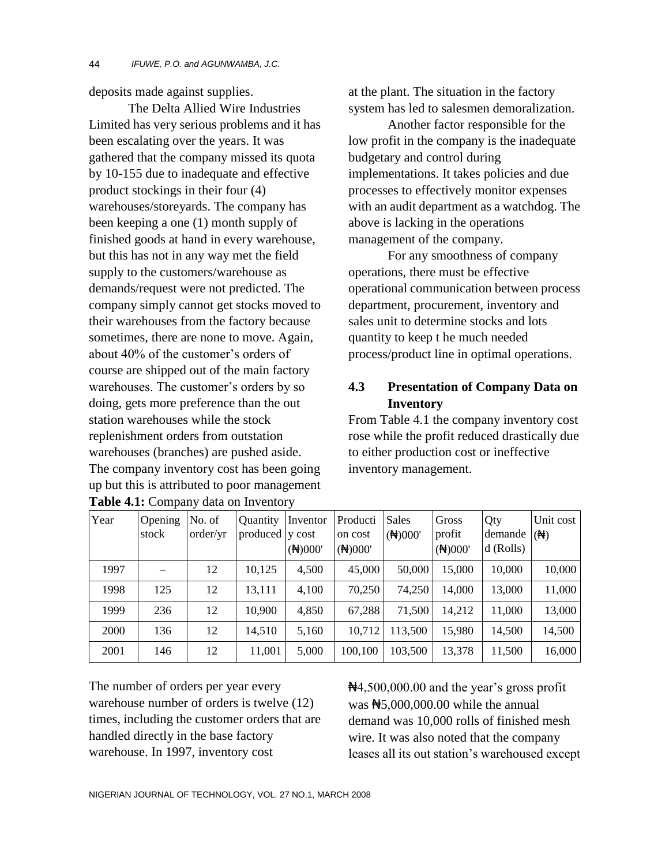deposits made against supplies.

The Delta Allied Wire Industries Limited has very serious problems and it has been escalating over the years. It was gathered that the company missed its quota by 10-155 due to inadequate and effective product stockings in their four (4) warehouses/storeyards. The company has been keeping a one (1) month supply of finished goods at hand in every warehouse, but this has not in any way met the field supply to the customers/warehouse as demands/request were not predicted. The company simply cannot get stocks moved to their warehouses from the factory because sometimes, there are none to move. Again, about 40% of the customer's orders of course are shipped out of the main factory warehouses. The customer's orders by so doing, gets more preference than the out station warehouses while the stock replenishment orders from outstation warehouses (branches) are pushed aside. The company inventory cost has been going up but this is attributed to poor management **Table 4.1:** Company data on Inventory

at the plant. The situation in the factory system has led to salesmen demoralization.

Another factor responsible for the low profit in the company is the inadequate budgetary and control during implementations. It takes policies and due processes to effectively monitor expenses with an audit department as a watchdog. The above is lacking in the operations management of the company.

For any smoothness of company operations, there must be effective operational communication between process department, procurement, inventory and sales unit to determine stocks and lots quantity to keep t he much needed process/product line in optimal operations.

## **4.3 Presentation of Company Data on Inventory**

From Table 4.1 the company inventory cost rose while the profit reduced drastically due to either production cost or ineffective inventory management.

| Year | Opening<br>stock | No. of<br>order/yr | <b>Ouantity</b><br>produced v cost | Inventor<br>(H)000' | Producti<br>on cost<br>(H)000' | Sales<br>(H)000' | Gross<br>profit<br>(H)000' | Qty<br>demande $(\bigoplus)$<br>$d$ (Rolls) | Unit cost |
|------|------------------|--------------------|------------------------------------|---------------------|--------------------------------|------------------|----------------------------|---------------------------------------------|-----------|
| 1997 |                  | 12                 | 10,125                             | 4,500               | 45,000                         | 50,000           | 15,000                     | 10,000                                      | 10,000    |
| 1998 | 125              | 12                 | 13,111                             | 4,100               | 70,250                         | 74,250           | 14,000                     | 13,000                                      | 11,000    |
| 1999 | 236              | 12                 | 10,900                             | 4,850               | 67,288                         | 71,500           | 14,212                     | 11,000                                      | 13,000    |
| 2000 | 136              | 12                 | 14,510                             | 5,160               | 10,712                         | 113,500          | 15,980                     | 14,500                                      | 14,500    |
| 2001 | 146              | 12                 | 11,001                             | 5,000               | 100,100                        | 103,500          | 13,378                     | 11,500                                      | 16,000    |

The number of orders per year every warehouse number of orders is twelve (12) times, including the customer orders that are handled directly in the base factory warehouse. In 1997, inventory cost

₦4,500,000.00 and the year's gross profit was  $\frac{45,000,000,00}{8}$  while the annual demand was 10,000 rolls of finished mesh wire. It was also noted that the company leases all its out station's warehoused except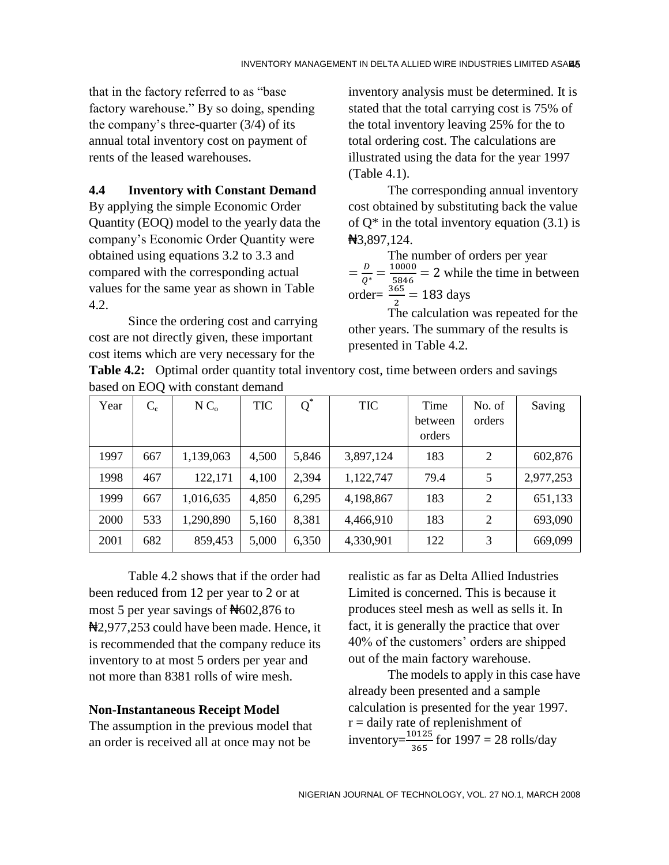that in the factory referred to as "base factory warehouse." By so doing, spending the company's three-quarter (3/4) of its annual total inventory cost on payment of rents of the leased warehouses.

## **4.4 Inventory with Constant Demand**

By applying the simple Economic Order Quantity (EOQ) model to the yearly data the company's Economic Order Quantity were obtained using equations 3.2 to 3.3 and compared with the corresponding actual values for the same year as shown in Table 4.2.

Since the ordering cost and carrying cost are not directly given, these important cost items which are very necessary for the

inventory analysis must be determined. It is stated that the total carrying cost is 75% of the total inventory leaving 25% for the to total ordering cost. The calculations are illustrated using the data for the year 1997 (Table 4.1).

The corresponding annual inventory cost obtained by substituting back the value of  $O^*$  in the total inventory equation (3.1) is ₦3,897,124.

The number of orders per year  $=\frac{D}{\Omega}$ Q  $\mathbf{1}$  $\frac{10000}{5846}$  = 2 while the time in between order= $\frac{363}{2}$  = 183 days

The calculation was repeated for the other years. The summary of the results is presented in Table 4.2.

**Table 4.2:** Optimal order quantity total inventory cost, time between orders and savings based on EOQ with constant demand

| Year | $C_{c}$ | N C <sub>o</sub> | <b>TIC</b> | $Q^*$ | <b>TIC</b> | Time<br>between<br>orders | No. of<br>orders | Saving    |
|------|---------|------------------|------------|-------|------------|---------------------------|------------------|-----------|
| 1997 | 667     | 1,139,063        | 4,500      | 5,846 | 3,897,124  | 183                       | 2                | 602,876   |
| 1998 | 467     | 122,171          | 4,100      | 2,394 | 1,122,747  | 79.4                      | 5                | 2,977,253 |
| 1999 | 667     | 1,016,635        | 4,850      | 6,295 | 4,198,867  | 183                       | 2                | 651,133   |
| 2000 | 533     | 1,290,890        | 5,160      | 8,381 | 4,466,910  | 183                       | 2                | 693,090   |
| 2001 | 682     | 859,453          | 5,000      | 6,350 | 4,330,901  | 122                       | 3                | 669,099   |

Table 4.2 shows that if the order had been reduced from 12 per year to 2 or at most 5 per year savings of  $\text{H}602,876$  to ₦2,977,253 could have been made. Hence, it is recommended that the company reduce its inventory to at most 5 orders per year and not more than 8381 rolls of wire mesh.

## **Non-Instantaneous Receipt Model**

The assumption in the previous model that an order is received all at once may not be

realistic as far as Delta Allied Industries Limited is concerned. This is because it produces steel mesh as well as sells it. In fact, it is generally the practice that over 40% of the customers' orders are shipped out of the main factory warehouse.

The models to apply in this case have already been presented and a sample calculation is presented for the year 1997.  $r =$  daily rate of replenishment of inventory= $\frac{10125}{365}$  for 1997 = 28 rolls/day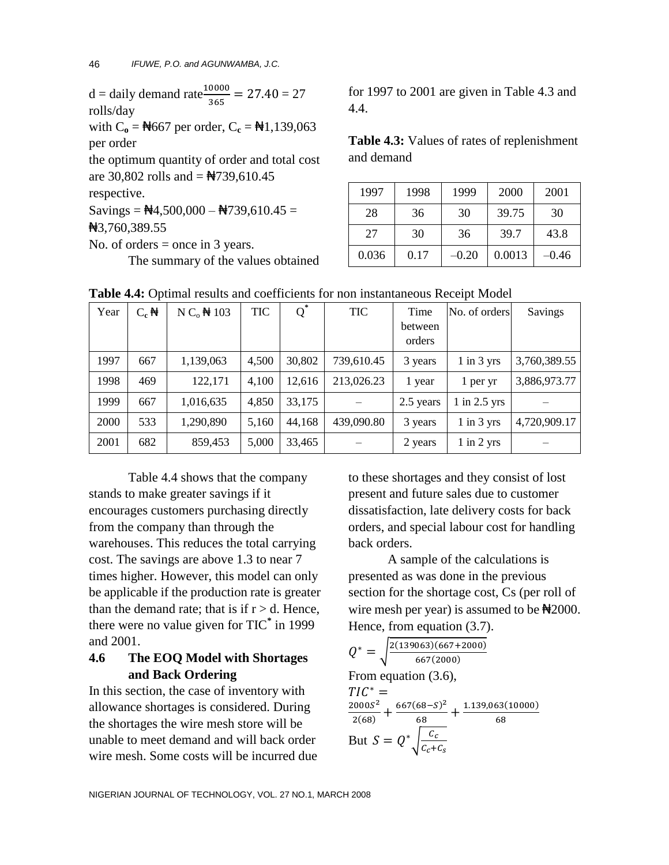$d =$  daily demand rate  $\frac{10000}{365} = 27.40 = 27$ rolls/day

with  $C_0 = \frac{N}{667}$  per order,  $C_c = \frac{N}{1,139,063}$ per order

the optimum quantity of order and total cost are 30,802 rolls and  $=$   $\frac{\text{A}}{739,610.45}$ 

respective.

Savings =  $\frac{14}{500,000} - \frac{14}{39,610.45} =$ 

₦3,760,389.55

No. of orders = once in 3 years.

The summary of the values obtained

for 1997 to 2001 are given in Table 4.3 and 4.4.

**Table 4.3:** Values of rates of replenishment and demand

| 1997  | 1998 | 1999    | 2000   | 2001  |
|-------|------|---------|--------|-------|
| 28    | 36   | 30      | 39.75  | 30    |
| 27    | 30   | 36      | 39.7   | 43.8  |
| 0.036 | 0.17 | $-0.20$ | 0.0013 | –0.46 |

| Year | $C_{c}$ $\mathbf{\Theta}$ | $N Co$ $\bigoplus$ 103 | <b>TIC</b> | $Q^*$  | <b>TIC</b> | Time              | No. of orders    | Savings      |
|------|---------------------------|------------------------|------------|--------|------------|-------------------|------------------|--------------|
|      |                           |                        |            |        |            | between<br>orders |                  |              |
| 1997 | 667                       | 1,139,063              | 4,500      | 30,802 | 739,610.45 | 3 years           | $1$ in $3$ yrs   | 3,760,389.55 |
| 1998 | 469                       | 122,171                | 4,100      | 12,616 | 213,026.23 | 1 year            | 1 per yr         | 3,886,973.77 |
| 1999 | 667                       | 1,016,635              | 4,850      | 33,175 |            | 2.5 years         | $1$ in $2.5$ yrs |              |
| 2000 | 533                       | 1,290,890              | 5,160      | 44,168 | 439,090.80 | 3 years           | $1$ in $3$ yrs   | 4,720,909.17 |
| 2001 | 682                       | 859,453                | 5,000      | 33,465 |            | 2 years           | $1$ in $2$ yrs   |              |

**Table 4.4:** Optimal results and coefficients for non instantaneous Receipt Model

Table 4.4 shows that the company stands to make greater savings if it encourages customers purchasing directly from the company than through the warehouses. This reduces the total carrying cost. The savings are above 1.3 to near 7 times higher. However, this model can only be applicable if the production rate is greater than the demand rate; that is if  $r > d$ . Hence, there were no value given for TIC**\*** in 1999 and 2001.

## **4.6 The EOQ Model with Shortages and Back Ordering**

In this section, the case of inventory with allowance shortages is considered. During the shortages the wire mesh store will be unable to meet demand and will back order wire mesh. Some costs will be incurred due to these shortages and they consist of lost present and future sales due to customer dissatisfaction, late delivery costs for back orders, and special labour cost for handling back orders.

A sample of the calculations is presented as was done in the previous section for the shortage cost, Cs (per roll of wire mesh per year) is assumed to be  $\frac{42000}{3}$ . Hence, from equation (3.7).

$$
Q^* = \sqrt{\frac{2(139063)(667+2000)}{667(2000)}}
$$
  
From equation (3.6),  

$$
TIC^* =
$$
  

$$
\frac{2000S^2}{2(68)} + \frac{667(68-S)^2}{68} + \frac{1.139,063(10000)}{68}
$$
  
But  $S = Q^* \sqrt{\frac{c_c}{c_c + c_s}}$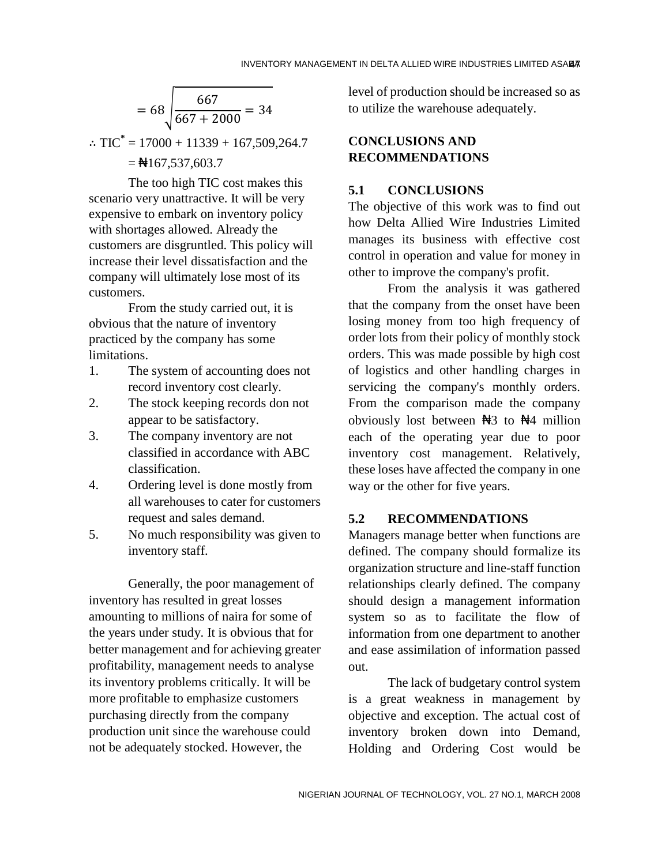$$
= 68 \sqrt{\frac{667}{667 + 2000}} = 34
$$

∴ TIC<sup>\*</sup> = 17000 + 11339 + 167,509,264.7  $=\frac{1}{167,537,603.7}$ 

The too high TIC cost makes this scenario very unattractive. It will be very expensive to embark on inventory policy with shortages allowed. Already the customers are disgruntled. This policy will increase their level dissatisfaction and the company will ultimately lose most of its customers.

From the study carried out, it is obvious that the nature of inventory practiced by the company has some limitations.

- 1. The system of accounting does not record inventory cost clearly.
- 2. The stock keeping records don not appear to be satisfactory.
- 3. The company inventory are not classified in accordance with ABC classification.
- 4. Ordering level is done mostly from all warehouses to cater for customers request and sales demand.
- 5. No much responsibility was given to inventory staff.

Generally, the poor management of inventory has resulted in great losses amounting to millions of naira for some of the years under study. It is obvious that for better management and for achieving greater profitability, management needs to analyse its inventory problems critically. It will be more profitable to emphasize customers purchasing directly from the company production unit since the warehouse could not be adequately stocked. However, the

level of production should be increased so as to utilize the warehouse adequately.

## **CONCLUSIONS AND RECOMMENDATIONS**

### **5.1 CONCLUSIONS**

The objective of this work was to find out how Delta Allied Wire Industries Limited manages its business with effective cost control in operation and value for money in other to improve the company's profit.

From the analysis it was gathered that the company from the onset have been losing money from too high frequency of order lots from their policy of monthly stock orders. This was made possible by high cost of logistics and other handling charges in servicing the company's monthly orders. From the comparison made the company obviously lost between  $\mathbb{H}3$  to  $\mathbb{H}4$  million each of the operating year due to poor inventory cost management. Relatively, these loses have affected the company in one way or the other for five years.

## **5.2 RECOMMENDATIONS**

Managers manage better when functions are defined. The company should formalize its organization structure and line-staff function relationships clearly defined. The company should design a management information system so as to facilitate the flow of information from one department to another and ease assimilation of information passed out.

The lack of budgetary control system is a great weakness in management by objective and exception. The actual cost of inventory broken down into Demand, Holding and Ordering Cost would be